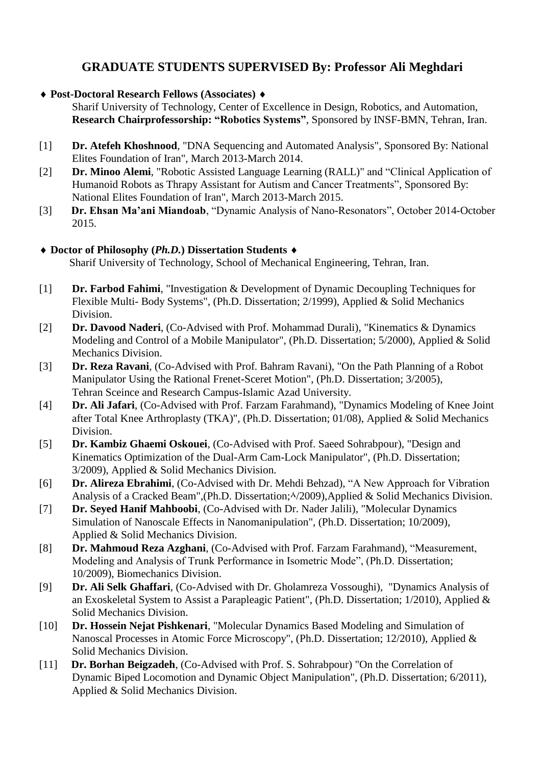## **GRADUATE STUDENTS SUPERVISED By: Professor Ali Meghdari**

## **Post-Doctoral Research Fellows (Associates)**

 Sharif University of Technology, Center of Excellence in Design, Robotics, and Automation, **Research Chairprofessorship: "Robotics Systems"**, Sponsored by INSF-BMN, Tehran, Iran.

- [1] **Dr. Atefeh Khoshnood**, "DNA Sequencing and Automated Analysis", Sponsored By: National Elites Foundation of Iran", March 2013-March 2014.
- [2] **Dr. Minoo Alemi**, "Robotic Assisted Language Learning (RALL)" and "Clinical Application of Humanoid Robots as Thrapy Assistant for Autism and Cancer Treatments", Sponsored By: National Elites Foundation of Iran", March 2013-March 2015.
- [3] **Dr. Ehsan Ma'ani Miandoab**, "Dynamic Analysis of Nano-Resonators", October 2014-October 2015.

## ◆ Doctor of Philosophy (*Ph.D.*) Dissertation Students ◆

Sharif University of Technology, School of Mechanical Engineering, Tehran, Iran.

- [1] **Dr. Farbod Fahimi**, "Investigation & Development of Dynamic Decoupling Techniques for Flexible Multi- Body Systems", (Ph.D. Dissertation; 2/1999), Applied & Solid Mechanics Division.
- [2] **Dr. Davood Naderi**, (Co-Advised with Prof. Mohammad Durali), "Kinematics & Dynamics Modeling and Control of a Mobile Manipulator", (Ph.D. Dissertation; 5/2000), Applied & Solid Mechanics Division.
- [3] **Dr. Reza Ravani**, (Co-Advised with Prof. Bahram Ravani), "On the Path Planning of a Robot Manipulator Using the Rational Frenet-Sceret Motion", (Ph.D. Dissertation; 3/2005), Tehran Sceince and Research Campus-Islamic Azad University.
- [4] **Dr. Ali Jafari**, (Co-Advised with Prof. Farzam Farahmand), "Dynamics Modeling of Knee Joint after Total Knee Arthroplasty (TKA)", (Ph.D. Dissertation; 01/08), Applied & Solid Mechanics Division.
- [5] **Dr. Kambiz Ghaemi Oskouei**, (Co-Advised with Prof. Saeed Sohrabpour), "Design and Kinematics Optimization of the Dual-Arm Cam-Lock Manipulator", (Ph.D. Dissertation; 3/2009), Applied & Solid Mechanics Division.
- [6] **Dr. Alireza Ebrahimi**, (Co-Advised with Dr. Mehdi Behzad), "A New Approach for Vibration Analysis of a Cracked Beam", (Ph.D. Dissertation; $\frac{\lambda}{2009}$ ), Applied & Solid Mechanics Division.
- [7] **Dr. Seyed Hanif Mahboobi**, (Co-Advised with Dr. Nader Jalili), "Molecular Dynamics Simulation of Nanoscale Effects in Nanomanipulation", (Ph.D. Dissertation; 10/2009), Applied & Solid Mechanics Division.
- [8] **Dr. Mahmoud Reza Azghani**, (Co-Advised with Prof. Farzam Farahmand), "Measurement, Modeling and Analysis of Trunk Performance in Isometric Mode", (Ph.D. Dissertation; 10/2009), Biomechanics Division.
- [9] **Dr. Ali Selk Ghaffari**, (Co-Advised with Dr. Gholamreza Vossoughi), "Dynamics Analysis of an Exoskeletal System to Assist a Parapleagic Patient", (Ph.D. Dissertation; 1/2010), Applied & Solid Mechanics Division.
- [10] **Dr. Hossein Nejat Pishkenari**, "Molecular Dynamics Based Modeling and Simulation of Nanoscal Processes in Atomic Force Microscopy", (Ph.D. Dissertation; 12/2010), Applied & Solid Mechanics Division.
- [11] **Dr. Borhan Beigzadeh**, (Co-Advised with Prof. S. Sohrabpour) "On the Correlation of Dynamic Biped Locomotion and Dynamic Object Manipulation", (Ph.D. Dissertation; 6/2011), Applied & Solid Mechanics Division.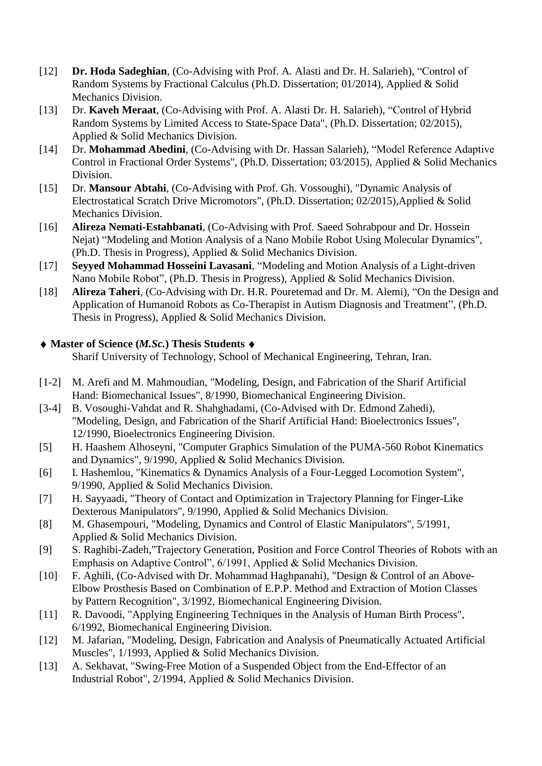- [12] **Dr. Hoda Sadeghian**, (Co-Advising with Prof. A. Alasti and Dr. H. Salarieh), "Control of Random Systems by Fractional Calculus (Ph.D. Dissertation; 01/2014), Applied & Solid Mechanics Division.
- [13] Dr. **Kaveh Meraat**, (Co-Advising with Prof. A. Alasti Dr. H. Salarieh), "Control of Hybrid Random Systems by Limited Access to State-Space Data", (Ph.D. Dissertation; 02/2015), Applied & Solid Mechanics Division.
- [14] Dr. **Mohammad Abedini**, (Co-Advising with Dr. Hassan Salarieh), "Model Reference Adaptive Control in Fractional Order Systems", (Ph.D. Dissertation; 03/2015), Applied & Solid Mechanics Division.
- [15] Dr. **Mansour Abtahi**, (Co-Advising with Prof. Gh. Vossoughi), "Dynamic Analysis of Electrostatical Scratch Drive Micromotors", (Ph.D. Dissertation; 02/2015),Applied & Solid Mechanics Division.
- [16] **Alireza Nemati-Estahbanati**, (Co-Advising with Prof. Saeed Sohrabpour and Dr. Hossein Nejat) "Modeling and Motion Analysis of a Nano Mobile Robot Using Molecular Dynamics", (Ph.D. Thesis in Progress), Applied & Solid Mechanics Division.
- [17] **Seyyed Mohammad Hosseini Lavasani**, "Modeling and Motion Analysis of a Light-driven Nano Mobile Robot", (Ph.D. Thesis in Progress), Applied & Solid Mechanics Division.
- [18] **Alireza Taheri**, (Co-Advising with Dr. H.R. Pouretemad and Dr. M. Alemi), "On the Design and Application of Humanoid Robots as Co-Therapist in Autism Diagnosis and Treatment", (Ph.D. Thesis in Progress), Applied & Solid Mechanics Division.

## ◆ Master of Science (*M.Sc.*) Thesis Students ◆

Sharif University of Technology, School of Mechanical Engineering, Tehran, Iran.

- [1-2] M. Arefi and M. Mahmoudian, "Modeling, Design, and Fabrication of the Sharif Artificial Hand: Biomechanical Issues", 8/1990, Biomechanical Engineering Division.
- [3-4] B. Vosoughi-Vahdat and R. Shahghadami, (Co-Advised with Dr. Edmond Zahedi), "Modeling, Design, and Fabrication of the Sharif Artificial Hand: Bioelectronics Issues", 12/1990, Bioelectronics Engineering Division.
- [5] H. Haashem Alhoseyni, "Computer Graphics Simulation of the PUMA-560 Robot Kinematics and Dynamics", 9/1990, Applied & Solid Mechanics Division.
- [6] I. Hashemlou, "Kinematics & Dynamics Analysis of a Four-Legged Locomotion System", 9/1990, Applied & Solid Mechanics Division.
- [7] H. Sayyaadi, "Theory of Contact and Optimization in Trajectory Planning for Finger-Like Dexterous Manipulators", 9/1990, Applied & Solid Mechanics Division.
- [8] M. Ghasempouri, "Modeling, Dynamics and Control of Elastic Manipulators", 5/1991, Applied & Solid Mechanics Division.
- [9] S. Raghibi-Zadeh,"Trajectory Generation, Position and Force Control Theories of Robots with an Emphasis on Adaptive Control", 6/1991, Applied & Solid Mechanics Division.
- [10] F. Aghili, (Co-Advised with Dr. Mohammad Haghpanahi), "Design  $&$  Control of an Above-Elbow Prosthesis Based on Combination of E.P.P. Method and Extraction of Motion Classes by Pattern Recognition", 3/1992, Biomechanical Engineering Division.
- [11] R. Davoodi, "Applying Engineering Techniques in the Analysis of Human Birth Process", 6/1992, Biomechanical Engineering Division.
- [12] M. Jafarian, "Modeling, Design, Fabrication and Analysis of Pneumatically Actuated Artificial Muscles", 1/1993, Applied & Solid Mechanics Division.
- [13] A. Sekhavat, "Swing-Free Motion of a Suspended Object from the End-Effector of an Industrial Robot", 2/1994, Applied & Solid Mechanics Division.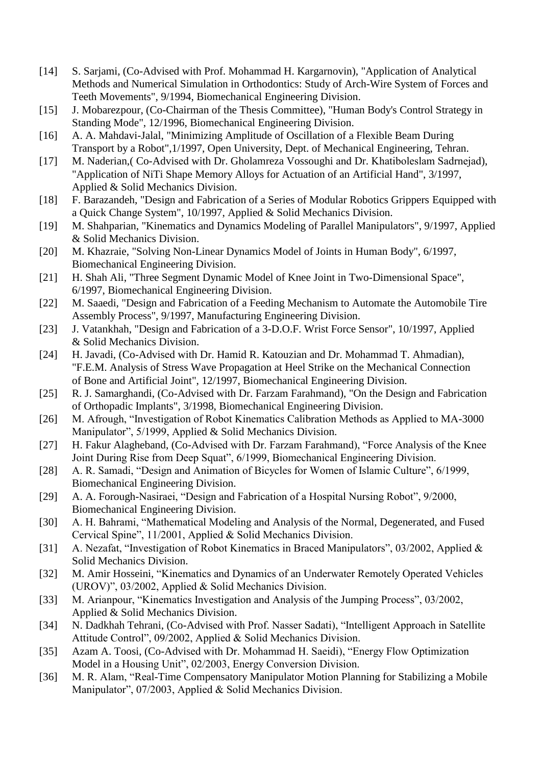- [14] S. Sarjami, (Co-Advised with Prof. Mohammad H. Kargarnovin), "Application of Analytical Methods and Numerical Simulation in Orthodontics: Study of Arch-Wire System of Forces and Teeth Movements", 9/1994, Biomechanical Engineering Division.
- [15] J. Mobarezpour, (Co-Chairman of the Thesis Committee), "Human Body's Control Strategy in Standing Mode", 12/1996, Biomechanical Engineering Division.
- [16] A. A. Mahdavi-Jalal, "Minimizing Amplitude of Oscillation of a Flexible Beam During Transport by a Robot",1/1997, Open University, Dept. of Mechanical Engineering, Tehran.
- [17] M. Naderian,( Co-Advised with Dr. Gholamreza Vossoughi and Dr. Khatiboleslam Sadrnejad), "Application of NiTi Shape Memory Alloys for Actuation of an Artificial Hand", 3/1997, Applied & Solid Mechanics Division.
- [18] F. Barazandeh, "Design and Fabrication of a Series of Modular Robotics Grippers Equipped with a Quick Change System", 10/1997, Applied & Solid Mechanics Division.
- [19] M. Shahparian, "Kinematics and Dynamics Modeling of Parallel Manipulators", 9/1997, Applied & Solid Mechanics Division.
- [20] M. Khazraie, "Solving Non-Linear Dynamics Model of Joints in Human Body", 6/1997, Biomechanical Engineering Division.
- [21] H. Shah Ali, "Three Segment Dynamic Model of Knee Joint in Two-Dimensional Space", 6/1997, Biomechanical Engineering Division.
- [22] M. Saaedi, "Design and Fabrication of a Feeding Mechanism to Automate the Automobile Tire Assembly Process", 9/1997, Manufacturing Engineering Division.
- [23] J. Vatankhah, "Design and Fabrication of a 3-D.O.F. Wrist Force Sensor", 10/1997, Applied & Solid Mechanics Division.
- [24] H. Javadi, (Co-Advised with Dr. Hamid R. Katouzian and Dr. Mohammad T. Ahmadian), "F.E.M. Analysis of Stress Wave Propagation at Heel Strike on the Mechanical Connection of Bone and Artificial Joint", 12/1997, Biomechanical Engineering Division.
- [25] R. J. Samarghandi, (Co-Advised with Dr. Farzam Farahmand), "On the Design and Fabrication of Orthopadic Implants", 3/1998, Biomechanical Engineering Division.
- [26] M. Afrough, "Investigation of Robot Kinematics Calibration Methods as Applied to MA-3000 Manipulator", 5/1999, Applied & Solid Mechanics Division.
- [27] H. Fakur Alagheband, (Co-Advised with Dr. Farzam Farahmand), "Force Analysis of the Knee Joint During Rise from Deep Squat", 6/1999, Biomechanical Engineering Division.
- [28] A. R. Samadi, "Design and Animation of Bicycles for Women of Islamic Culture", 6/1999, Biomechanical Engineering Division.
- [29] A. A. Forough-Nasiraei, "Design and Fabrication of a Hospital Nursing Robot", 9/2000, Biomechanical Engineering Division.
- [30] A. H. Bahrami, "Mathematical Modeling and Analysis of the Normal, Degenerated, and Fused Cervical Spine", 11/2001, Applied & Solid Mechanics Division.
- [31] A. Nezafat, "Investigation of Robot Kinematics in Braced Manipulators", 03/2002, Applied & Solid Mechanics Division.
- [32] M. Amir Hosseini, "Kinematics and Dynamics of an Underwater Remotely Operated Vehicles (UROV)", 03/2002, Applied & Solid Mechanics Division.
- [33] M. Arianpour, "Kinematics Investigation and Analysis of the Jumping Process", 03/2002, Applied & Solid Mechanics Division.
- [34] N. Dadkhah Tehrani, (Co-Advised with Prof. Nasser Sadati), "Intelligent Approach in Satellite Attitude Control", 09/2002, Applied & Solid Mechanics Division.
- [35] Azam A. Toosi, (Co-Advised with Dr. Mohammad H. Saeidi), "Energy Flow Optimization Model in a Housing Unit", 02/2003, Energy Conversion Division.
- [36] M. R. Alam, "Real-Time Compensatory Manipulator Motion Planning for Stabilizing a Mobile Manipulator", 07/2003, Applied & Solid Mechanics Division.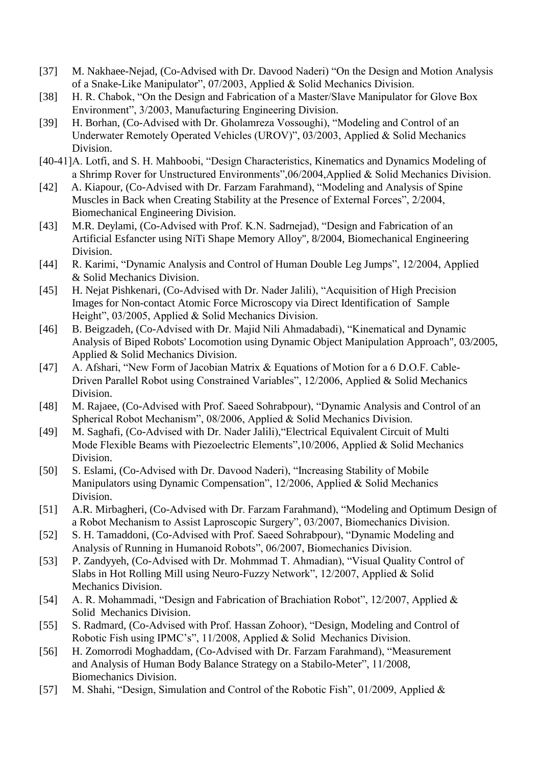- [37] M. Nakhaee-Nejad, (Co-Advised with Dr. Davood Naderi) "On the Design and Motion Analysis of a Snake-Like Manipulator", 07/2003, Applied & Solid Mechanics Division.
- [38] H. R. Chabok, "On the Design and Fabrication of a Master/Slave Manipulator for Glove Box Environment", 3/2003, Manufacturing Engineering Division.
- [39] H. Borhan, (Co-Advised with Dr. Gholamreza Vossoughi), "Modeling and Control of an Underwater Remotely Operated Vehicles (UROV)", 03/2003, Applied & Solid Mechanics Division.
- [40-41]A. Lotfi, and S. H. Mahboobi, "Design Characteristics, Kinematics and Dynamics Modeling of a Shrimp Rover for Unstructured Environments",06/2004,Applied & Solid Mechanics Division.
- [42] A. Kiapour, (Co-Advised with Dr. Farzam Farahmand), "Modeling and Analysis of Spine Muscles in Back when Creating Stability at the Presence of External Forces", 2/2004, Biomechanical Engineering Division.
- [43] M.R. Deylami, (Co-Advised with Prof. K.N. Sadrnejad), "Design and Fabrication of an Artificial Esfancter using NiTi Shape Memory Alloy", 8/2004, Biomechanical Engineering Division.
- [44] R. Karimi, "Dynamic Analysis and Control of Human Double Leg Jumps", 12/2004, Applied & Solid Mechanics Division.
- [45] H. Nejat Pishkenari, (Co-Advised with Dr. Nader Jalili), "Acquisition of High Precision Images for Non-contact Atomic Force Microscopy via Direct Identification of Sample Height", 03/2005, Applied & Solid Mechanics Division.
- [46] B. Beigzadeh, (Co-Advised with Dr. Majid Nili Ahmadabadi), "Kinematical and Dynamic Analysis of Biped Robots' Locomotion using Dynamic Object Manipulation Approach", 03/2005, Applied & Solid Mechanics Division.
- [47] A. Afshari, "New Form of Jacobian Matrix & Equations of Motion for a 6 D.O.F. Cable-Driven Parallel Robot using Constrained Variables", 12/2006, Applied & Solid Mechanics Division.
- [48] M. Rajaee, (Co-Advised with Prof. Saeed Sohrabpour), "Dynamic Analysis and Control of an Spherical Robot Mechanism", 08/2006, Applied & Solid Mechanics Division.
- [49] M. Saghafi, (Co-Advised with Dr. Nader Jalili),"Electrical Equivalent Circuit of Multi Mode Flexible Beams with Piezoelectric Elements",10/2006, Applied & Solid Mechanics Division.
- [50] S. Eslami, (Co-Advised with Dr. Davood Naderi), "Increasing Stability of Mobile Manipulators using Dynamic Compensation", 12/2006, Applied & Solid Mechanics Division.
- [51] A.R. Mirbagheri, (Co-Advised with Dr. Farzam Farahmand), "Modeling and Optimum Design of a Robot Mechanism to Assist Laproscopic Surgery", 03/2007, Biomechanics Division.
- [52] S. H. Tamaddoni, (Co-Advised with Prof. Saeed Sohrabpour), "Dynamic Modeling and Analysis of Running in Humanoid Robots", 06/2007, Biomechanics Division.
- [53] P. Zandyyeh, (Co-Advised with Dr. Mohmmad T. Ahmadian), "Visual Quality Control of Slabs in Hot Rolling Mill using Neuro-Fuzzy Network", 12/2007, Applied & Solid Mechanics Division.
- [54] A. R. Mohammadi, "Design and Fabrication of Brachiation Robot", 12/2007, Applied & Solid Mechanics Division.
- [55] S. Radmard, (Co-Advised with Prof. Hassan Zohoor), "Design, Modeling and Control of Robotic Fish using IPMC's", 11/2008, Applied & Solid Mechanics Division.
- [56] H. Zomorrodi Moghaddam, (Co-Advised with Dr. Farzam Farahmand), "Measurement and Analysis of Human Body Balance Strategy on a Stabilo-Meter", 11/2008, Biomechanics Division.
- [57] M. Shahi, "Design, Simulation and Control of the Robotic Fish", 01/2009, Applied &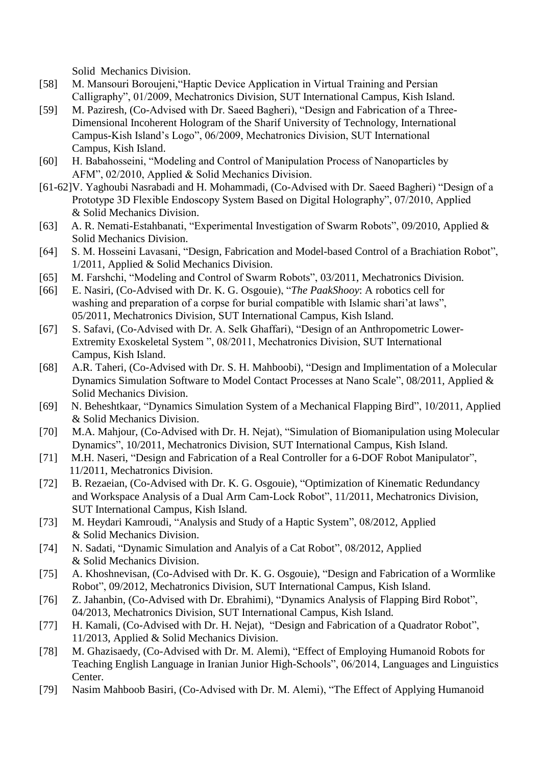Solid Mechanics Division.

- [58] M. Mansouri Boroujeni,"Haptic Device Application in Virtual Training and Persian Calligraphy", 01/2009, Mechatronics Division, SUT International Campus, Kish Island.
- [59] M. Paziresh, (Co-Advised with Dr. Saeed Bagheri), "Design and Fabrication of a Three-Dimensional Incoherent Hologram of the Sharif University of Technology, International Campus-Kish Island's Logo", 06/2009, Mechatronics Division, SUT International Campus, Kish Island.
- [60] H. Babahosseini, "Modeling and Control of Manipulation Process of Nanoparticles by AFM", 02/2010, Applied & Solid Mechanics Division.
- [61-62]V. Yaghoubi Nasrabadi and H. Mohammadi, (Co-Advised with Dr. Saeed Bagheri) "Design of a Prototype 3D Flexible Endoscopy System Based on Digital Holography", 07/2010, Applied & Solid Mechanics Division.
- [63] A. R. Nemati-Estahbanati, "Experimental Investigation of Swarm Robots", 09/2010, Applied & Solid Mechanics Division.
- [64] S. M. Hosseini Lavasani, "Design, Fabrication and Model-based Control of a Brachiation Robot", 1/2011, Applied & Solid Mechanics Division.
- [65] M. Farshchi, "Modeling and Control of Swarm Robots", 03/2011, Mechatronics Division.
- [66] E. Nasiri, (Co-Advised with Dr. K. G. Osgouie), "*The PaakShooy*: A robotics cell for washing and preparation of a corpse for burial compatible with Islamic shari'at laws", 05/2011, Mechatronics Division, SUT International Campus, Kish Island.
- [67] S. Safavi, (Co-Advised with Dr. A. Selk Ghaffari), "Design of an Anthropometric Lower-Extremity Exoskeletal System ", 08/2011, Mechatronics Division, SUT International Campus, Kish Island.
- [68] A.R. Taheri, (Co-Advised with Dr. S. H. Mahboobi), "Design and Implimentation of a Molecular Dynamics Simulation Software to Model Contact Processes at Nano Scale", 08/2011, Applied & Solid Mechanics Division.
- [69] N. Beheshtkaar, "Dynamics Simulation System of a Mechanical Flapping Bird", 10/2011, Applied & Solid Mechanics Division.
- [70] M.A. Mahjour, (Co-Advised with Dr. H. Nejat), "Simulation of Biomanipulation using Molecular Dynamics", 10/2011, Mechatronics Division, SUT International Campus, Kish Island.
- [71] M.H. Naseri, "Design and Fabrication of a Real Controller for a 6-DOF Robot Manipulator", 11/2011, Mechatronics Division.
- [72] B. Rezaeian, (Co-Advised with Dr. K. G. Osgouie), "Optimization of Kinematic Redundancy and Workspace Analysis of a Dual Arm Cam-Lock Robot", 11/2011, Mechatronics Division, SUT International Campus, Kish Island.
- [73] M. Heydari Kamroudi, "Analysis and Study of a Haptic System", 08/2012, Applied & Solid Mechanics Division.
- [74] N. Sadati, "Dynamic Simulation and Analyis of a Cat Robot", 08/2012, Applied & Solid Mechanics Division.
- [75] A. Khoshnevisan, (Co-Advised with Dr. K. G. Osgouie), "Design and Fabrication of a Wormlike Robot", 09/2012, Mechatronics Division, SUT International Campus, Kish Island.
- [76] Z. Jahanbin, (Co-Advised with Dr. Ebrahimi), "Dynamics Analysis of Flapping Bird Robot", 04/2013, Mechatronics Division, SUT International Campus, Kish Island.
- [77] H. Kamali, (Co-Advised with Dr. H. Nejat), "Design and Fabrication of a Quadrator Robot", 11/2013, Applied & Solid Mechanics Division.
- [78] M. Ghazisaedy, (Co-Advised with Dr. M. Alemi), "Effect of Employing Humanoid Robots for Teaching English Language in Iranian Junior High-Schools", 06/2014, Languages and Linguistics Center.
- [79] Nasim Mahboob Basiri, (Co-Advised with Dr. M. Alemi), "The Effect of Applying Humanoid